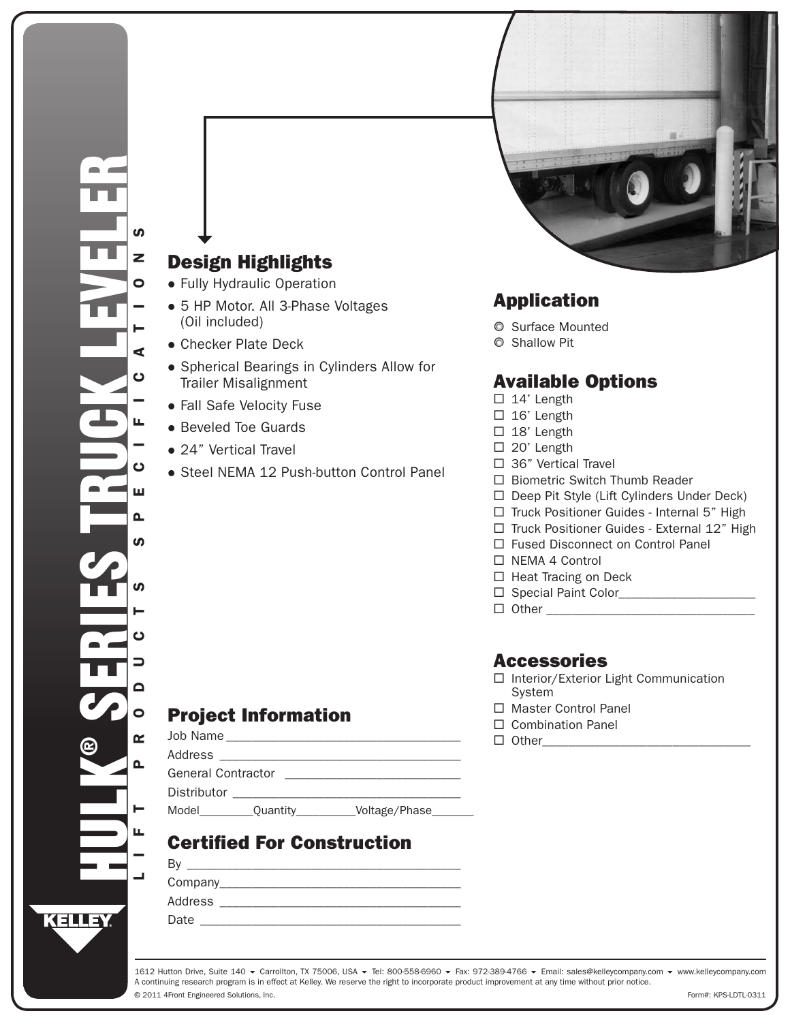# Design Highlights

- Fully Hydraulic Operation
- 5 HP Motor. All 3-Phase Voltages (Oil included)
- Checker Plate Deck
- Spherical Bearings in Cylinders Allow for Trailer Misalignment
- Fall Safe Velocity Fuse
- Beveled Toe Guards
- 24" Vertical Travel
- Steel NEMA 12 Push-button Control Panel

# Application

- **O** Surface Mounted
- { Shallow Pit

### Available Options

- $\Box$  14' Length
- $\Box$  16' Length
- $\Box$  18' Length
- □ 20' Length
- □ 36" Vertical Travel
- $\Box$  Biometric Switch Thumb Reader
- $\Box$  Deep Pit Style (Lift Cylinders Under Deck)
- $\Box$  Truck Positioner Guides Internal 5" High
- $\Box$  Truck Positioner Guides External 12" High
- □ Fused Disconnect on Control Panel
- □ NEMA 4 Control
- $\Box$  Heat Tracing on Deck
- Special Paint Color\_\_\_\_\_\_\_\_\_\_\_\_\_\_\_\_\_\_\_\_\_
- $\Box$  Other

### Accessories

- □ Interior/Exterior Light Communication System
- □ Master Control Panel
- □ Combination Panel
- $\Box$  Other

### Project Information

| Job Name                  |          |               |  |  |
|---------------------------|----------|---------------|--|--|
| Address                   |          |               |  |  |
| <b>General Contractor</b> |          |               |  |  |
| Distributor               |          |               |  |  |
| Model                     | Quantity | Voltage/Phase |  |  |

# Certified For Construction

| Β١      |  |
|---------|--|
| Company |  |
| Address |  |
| Date    |  |

© 2011 4Front Engineered Solutions, Inc. 1612 Hutton Drive, Suite 140 ▼ Carrollton, TX 75006, USA ▼ Tel: 800-558-6960 ▼ Fax: 972-389-4766 ▼ Email: sales@kelleycompany.com ▼ www.kelleycompany.com A continuing research program is in effect at Kelley. We reserve the right to incorporate product improvement at any time without prior notice.